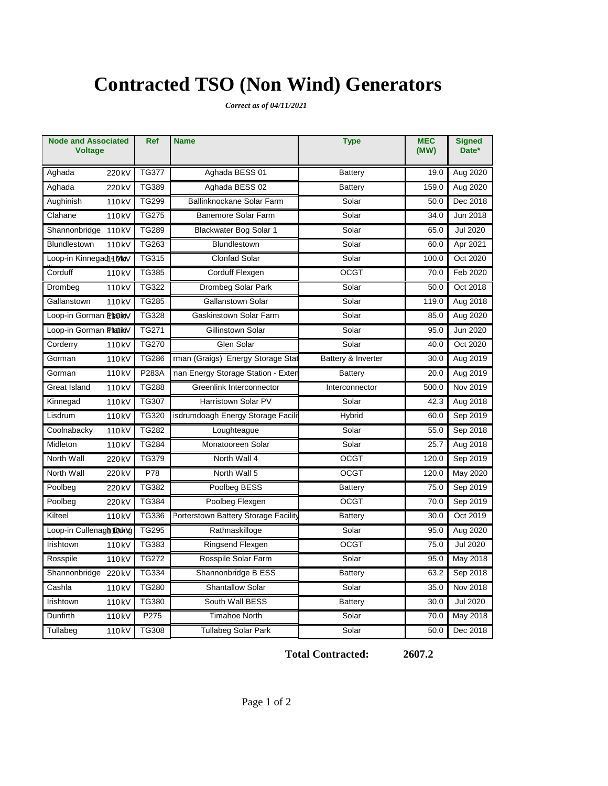# **Contracted TSO (Non Wind) Generators**

*Correct as of 04/11/2021*

| <b>Node and Associated</b><br><b>Voltage</b> | Ref          | <b>Name</b>                          | <b>Type</b>        | <b>MEC</b><br>(MW) | <b>Signed</b><br>Date* |
|----------------------------------------------|--------------|--------------------------------------|--------------------|--------------------|------------------------|
| Aghada<br>220 kV                             | <b>TG377</b> | Aghada BESS 01                       | <b>Battery</b>     | 19.0               | Aug 2020               |
| Aghada<br>220 kV                             | <b>TG389</b> | Aghada BESS 02                       | Battery            | 159.0              | Aug 2020               |
| Aughinish<br>110 <sub>kV</sub>               | <b>TG299</b> | Ballinknockane Solar Farm            | Solar              | 50.0               | Dec 2018               |
| Clahane<br>110 <sub>kV</sub>                 | <b>TG275</b> | Banemore Solar Farm                  | Solar              | 34.0               | Jun 2018               |
| Shannonbridge<br>110 <sub>k</sub> V          | <b>TG289</b> | Blackwater Bog Solar 1               | Solar              | 65.0               | <b>Jul 2020</b>        |
| Blundlestown<br>110 <sub>kV</sub>            | TG263        | Blundlestown                         | Solar              | 60.0               | Apr 2021               |
| Loop-in Kinnegad14MkV                        | <b>TG315</b> | <b>Clonfad Solar</b>                 | Solar              | 100.0              | Oct 2020               |
| Corduff<br>110 <sub>k</sub> V                | <b>TG385</b> | Corduff Flexgen                      | <b>OCGT</b>        | 70.0               | Feb 2020               |
| Drombeg<br>$110k\overline{V}$                | <b>TG322</b> | Drombeg Solar Park                   | Solar              | 50.0               | Oct 2018               |
| Gallanstown<br>110 <sub>kV</sub>             | <b>TG285</b> | Gallanstown Solar                    | Solar              | 119.0              | Aug 2018               |
| Loop-in Gorman PlatikV                       | <b>TG328</b> | Gaskinstown Solar Farm               | Solar              | 85.0               | Aug 2020               |
| Loop-in Gorman PlatikV                       | TG271        | Gillinstown Solar                    | Solar              | 95.0               | Jun 2020               |
| Corderry<br>110 <sub>k</sub> V               | <b>TG270</b> | Glen Solar                           | Solar              | 40.0               | Oct 2020               |
| Gorman<br>110 <sub>kV</sub>                  | <b>TG286</b> | rman (Graigs) Energy Storage Stat    | Battery & Inverter | 30.0               | Aug 2019               |
| Gorman<br>110 <sub>k</sub> V                 | P283A        | nan Energy Storage Station - Exten   | <b>Battery</b>     | 20.0               | Aug 2019               |
| Great Island<br>110 <sub>k</sub> V           | <b>TG288</b> | Greenlink Interconnector             | Interconnector     | 500.0              | Nov 2019               |
| Kinnegad<br>110 <sub>kV</sub>                | <b>TG307</b> | Harristown Solar PV                  | Solar              | 42.3               | Aug 2018               |
| Lisdrum<br>110 <sub>kV</sub>                 | TG320        | isdrumdoagh Energy Storage Facilit   | Hybrid             | 60.0               | Sep 2019               |
| Coolnabacky<br>110 <sub>kV</sub>             | <b>TG282</b> | Loughteague                          | Solar              | 55.0               | Sep 2018               |
| Midleton<br>110 <sub>k</sub> V               | <b>TG284</b> | Monatooreen Solar                    | Solar              | 25.7               | Aug 2018               |
| North Wall<br>220 kV                         | <b>TG379</b> | North Wall 4                         | <b>OCGT</b>        | 120.0              | Sep 2019               |
| North Wall<br>220 kV                         | P78          | North Wall 5                         | <b>OCGT</b>        | 120.0              | May 2020               |
| Poolbeg<br>220 kV                            | <b>TG382</b> | Poolbeg BESS                         | <b>Battery</b>     | 75.0               | Sep 2019               |
| Poolbeg<br>220 kV                            | <b>TG384</b> | Poolbeg Flexgen                      | <b>OCGT</b>        | 70.0               | Sep 2019               |
| Kilteel<br>110 <sub>kV</sub>                 | TG336        | Porterstown Battery Storage Facility | <b>Battery</b>     | 30.0               | Oct 2019               |
| Loop-in Cullenagh 10 ung                     | <b>TG295</b> | Rathnaskilloge                       | Solar              | 95.0               | Aug 2020               |
| Irishtown<br>110 <sub>kV</sub>               | TG383        | Ringsend Flexgen                     | <b>OCGT</b>        | 75.0               | <b>Jul 2020</b>        |
| Rosspile<br>110 <sub>k</sub> V               | <b>TG272</b> | Rosspile Solar Farm                  | Solar              | 95.0               | May 2018               |
| Shannonbridge 220 kV                         | TG334        | Shannonbridge B ESS                  | <b>Battery</b>     | 63.2               | Sep 2018               |
| Cashla<br>110 <sub>k</sub> V                 | <b>TG280</b> | <b>Shantallow Solar</b>              | Solar              | 35.0               | Nov 2018               |
| Irishtown<br>110 <sub>kV</sub>               | <b>TG380</b> | South Wall BESS                      | <b>Battery</b>     | 30.0               | Jul 2020               |
| Dunfirth<br>110 <sub>kV</sub>                | P275         | <b>Timahoe North</b>                 | Solar              | 70.0               | May 2018               |
| Tullabeg<br>110 <sub>kV</sub>                | <b>TG308</b> | <b>Tullabeg Solar Park</b>           | Solar              | 50.0               | Dec 2018               |

**Total Contracted: 2607.2**